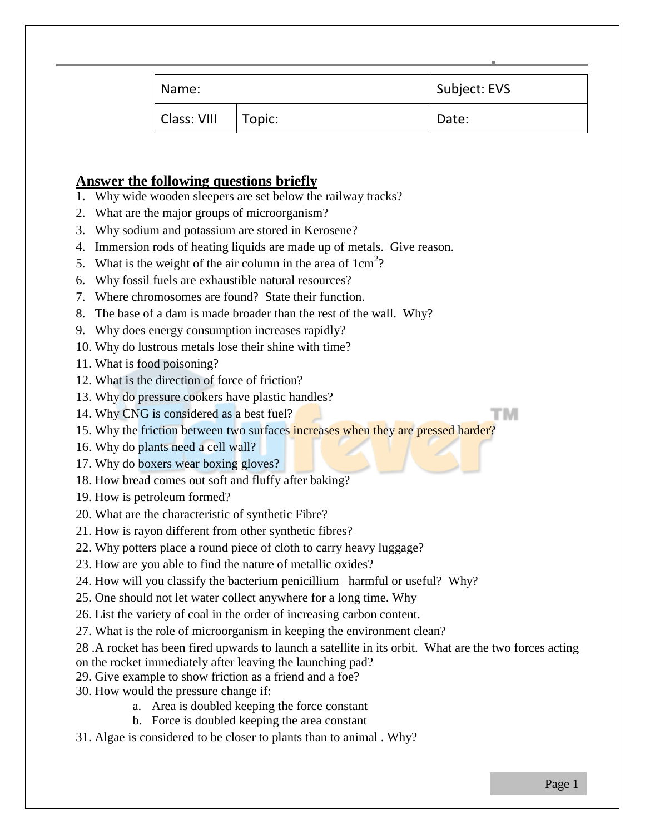| Name:       |        | Subject: EVS |
|-------------|--------|--------------|
| Class: VIII | Topic: | Date:        |

## **Answer the following questions briefly**

- 1. Why wide wooden sleepers are set below the railway tracks?
- 2. What are the major groups of microorganism?
- 3. Why sodium and potassium are stored in Kerosene?
- 4. Immersion rods of heating liquids are made up of metals. Give reason.
- 5. What is the weight of the air column in the area of  $1 \text{ cm}^2$ ?
- 6. Why fossil fuels are exhaustible natural resources?
- 7. Where chromosomes are found? State their function.
- 8. The base of a dam is made broader than the rest of the wall. Why?
- 9. Why does energy consumption increases rapidly?
- 10. Why do lustrous metals lose their shine with time?
- 11. What is food poisoning?
- 12. What is the direction of force of friction?
- 13. Why do pressure cookers have plastic handles?
- 14. Why CNG is considered as a best fuel?

15. Why the friction between two surfaces increases when they are pressed harder?

- 16. Why do plants need a cell wall?
- 17. Why do boxers wear boxing gloves?
- 18. How bread comes out soft and fluffy after baking?
- 19. How is petroleum formed?
- 20. What are the characteristic of synthetic Fibre?
- 21. How is rayon different from other synthetic fibres?
- 22. Why potters place a round piece of cloth to carry heavy luggage?
- 23. How are you able to find the nature of metallic oxides?
- 24. How will you classify the bacterium penicillium –harmful or useful? Why?
- 25. One should not let water collect anywhere for a long time. Why
- 26. List the variety of coal in the order of increasing carbon content.
- 27. What is the role of microorganism in keeping the environment clean?
- 28 .A rocket has been fired upwards to launch a satellite in its orbit. What are the two forces acting
- on the rocket immediately after leaving the launching pad?
- 29. Give example to show friction as a friend and a foe?
- 30. How would the pressure change if:
	- a. Area is doubled keeping the force constant
	- b. Force is doubled keeping the area constant
- 31. Algae is considered to be closer to plants than to animal . Why?

TM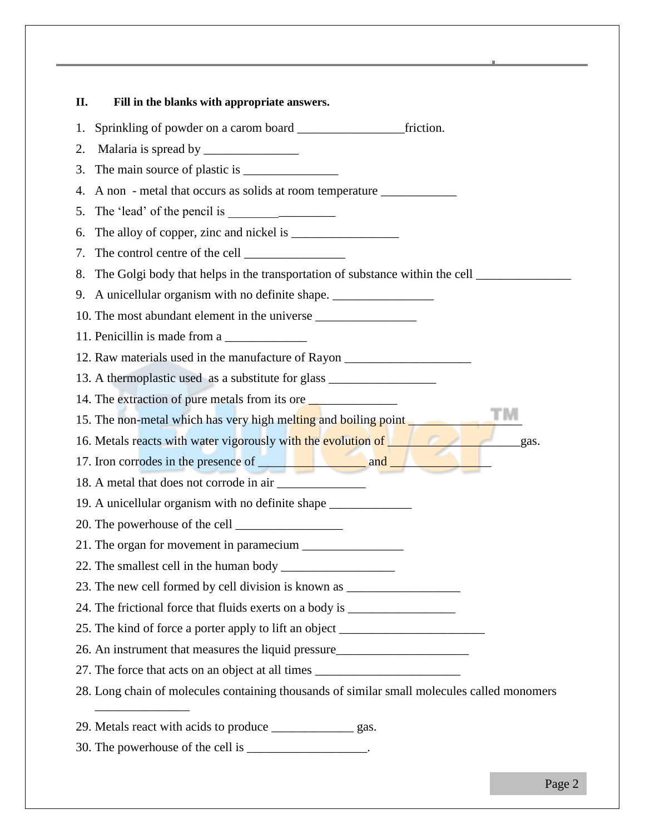| П.<br>Fill in the blanks with appropriate answers.                                          |
|---------------------------------------------------------------------------------------------|
| friction.<br>1.                                                                             |
| 2.                                                                                          |
| 3.                                                                                          |
| A non-metal that occurs as solids at room temperature ___________________________<br>4.     |
| 5.                                                                                          |
| 6.                                                                                          |
| 7.                                                                                          |
| 8.                                                                                          |
| 9. A unicellular organism with no definite shape. ______________________________            |
| 10. The most abundant element in the universe __________________________________            |
| 11. Penicillin is made from a                                                               |
| 12. Raw materials used in the manufacture of Rayon _____________________________            |
| 13. A thermoplastic used as a substitute for glass _____________________________            |
| 14. The extraction of pure metals from its ore                                              |
| 15. The non-metal which has very high melting and boiling point                             |
| 16. Metals reacts with water vigorously with the evolution of<br>gas.                       |
|                                                                                             |
|                                                                                             |
| 19. A unicellular organism with no definite shape ______________________________            |
|                                                                                             |
|                                                                                             |
|                                                                                             |
| 23. The new cell formed by cell division is known as ___________________________            |
| 24. The frictional force that fluids exerts on a body is _______________________            |
| 25. The kind of force a porter apply to lift an object _________________________            |
| 26. An instrument that measures the liquid pressure______________________________           |
| 27. The force that acts on an object at all times ______________________________            |
| 28. Long chain of molecules containing thousands of similar small molecules called monomers |
| 29. Metals react with acids to produce __________________ gas.                              |
| 30. The powerhouse of the cell is _________________.                                        |
|                                                                                             |

The Global Edge School - *Page 2*